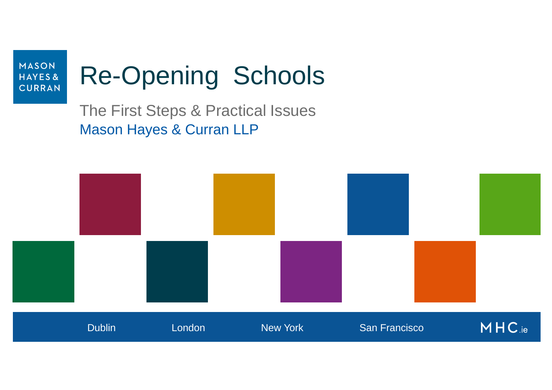

# Re-Opening Schools

The First Steps & Practical Issues Mason Hayes & Curran LLP

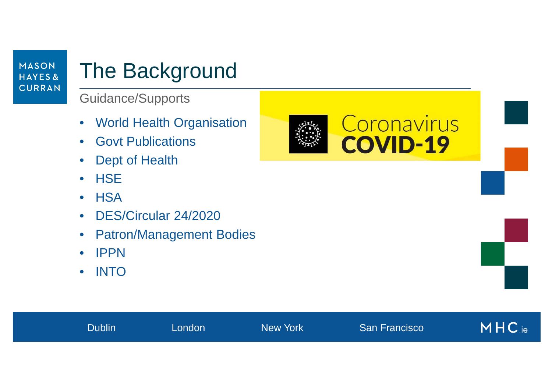### The Background

Guidance/Supports

- $\bullet$ World Health Organisation
- $\bullet$ Govt Publications
- $\bullet$ Dept of Health
- $\bullet$ HSE
- $\bullet$ **HSA**
- $\bullet$ DES/Circular 24/2020
- $\bullet$ Patron/Management Bodies

Dublin London New York San Francisco

- $\bullet$ IPPN
- $\bullet$ INTO

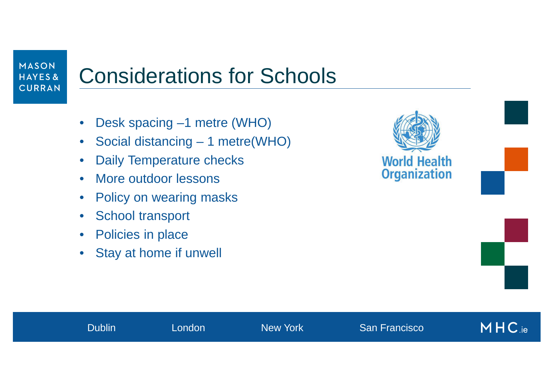### Considerations for Schools

**Dublin London New York** San Francisco

- $\bullet$ Desk spacing –1 metre (WHO)
- $\bullet$ Social distancing – 1 metre(WHO)
- $\bullet$ Daily Temperature checks
- $\bullet$ More outdoor lessons
- •Policy on wearing masks
- $\bullet$ School transport
- $\bullet$ Policies in place
- •Stay at home if unwell

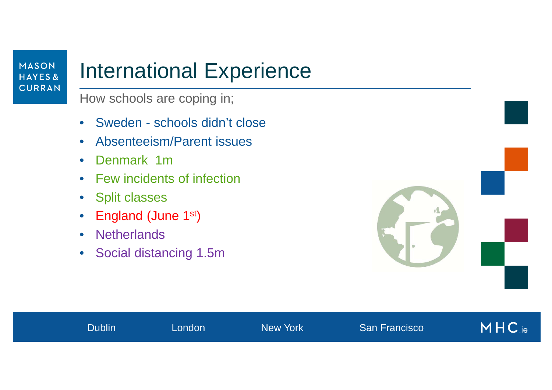### International Experience

How schools are coping in;

- $\bullet$ Sweden - schools didn't close
- $\bullet$ Absenteeism/Parent issues
- $\bullet$ Denmark 1m
- Few incidents of infection
- Split classes
- •• England (June 1<sup>st</sup>)
- $\bullet$ **Netherlands**
- $\bullet$ Social distancing 1.5m



| $M$ H C.ie<br><b>San Francisco</b><br>Dublin<br><b>New York</b><br>London |  |
|---------------------------------------------------------------------------|--|
|---------------------------------------------------------------------------|--|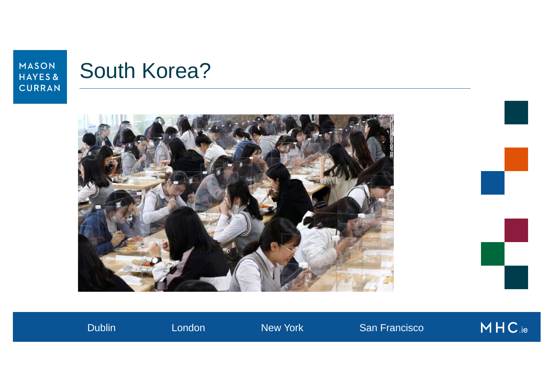

# South Korea?



 $MHC_{\text{.ie}}$ Dublin London New York San Francisco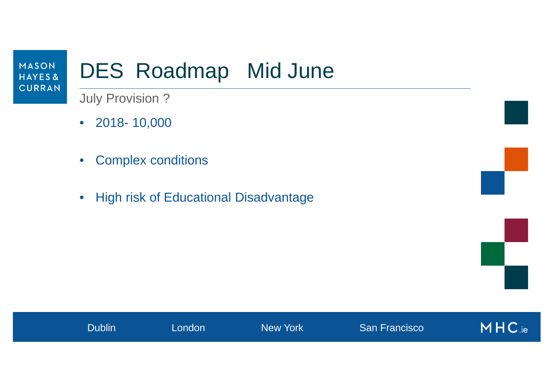# DES Roadmap Mid June

July Provision ?

- 2018- 10,000
- $\bullet$ Complex conditions
- $\bullet$ High risk of Educational Disadvantage

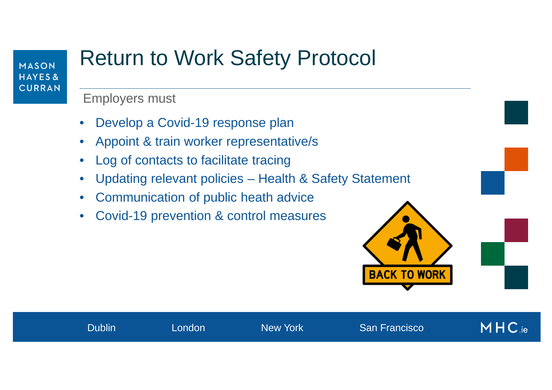### Return to Work Safety Protocol

Employers must

- $\bullet$ Develop a Covid-19 response plan
- $\bullet$ Appoint & train worker representative/s
- $\bullet$ Log of contacts to facilitate tracing
- $\bullet$ Updating relevant policies – Health & Safety Statement

Dublin London New York San Francisco

- •Communication of public heath advice
- •Covid-19 prevention & control measures

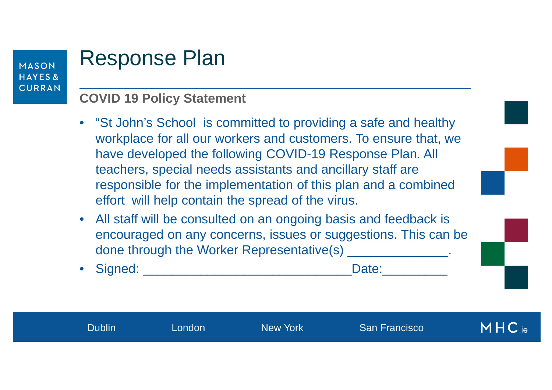#### Response Plan

#### **COVID 19 Policy Statement**

- "St John's School is committed to providing a safe and healthy workplace for all our workers and customers. To ensure that, we have developed the following COVID-19 Response Plan. All teachers, special needs assistants and ancillary staff are responsible for the implementation of this plan and a combined effort will help contain the spread of the virus.
- All staff will be consulted on an ongoing basis and feedback is encouraged on any concerns, issues or suggestions. This can be done through the Worker Representative(s) \_\_\_\_\_\_\_\_\_\_\_\_\_\_\_\_.
- Signed: \_\_\_\_\_\_\_\_\_\_\_\_\_\_\_\_\_\_\_\_\_\_\_\_\_\_\_\_\_Date:\_\_\_\_\_\_\_\_\_

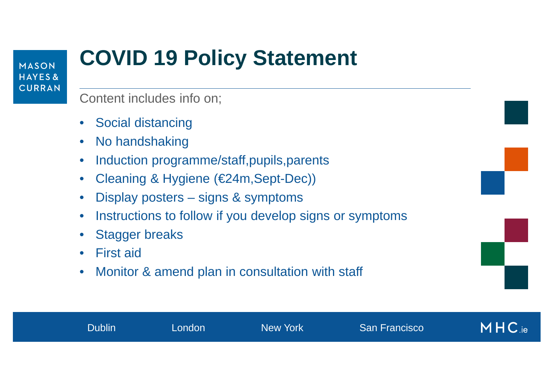# **COVID 19 Policy Statement**

Content includes info on;

- $\bullet$ Social distancing
- $\bullet$ No handshaking
- $\bullet$ Induction programme/staff,pupils,parents
- $\bullet$ Cleaning & Hygiene (€24m,Sept-Dec))
- $\bullet$ Display posters – signs & symptoms
- •Instructions to follow if you develop signs or symptoms
- •Stagger breaks
- $\bullet$ First aid
- •Monitor & amend plan in consultation with staff

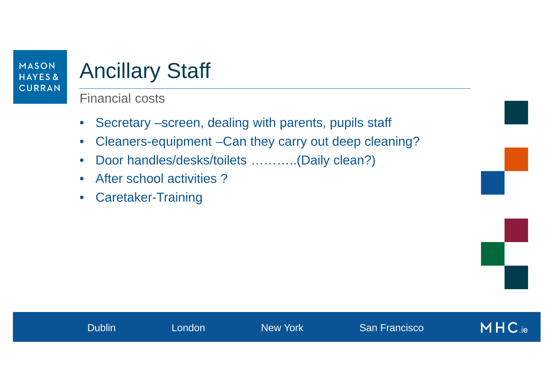# Ancillary Staff

#### Financial costs

- $\bullet$ Secretary –screen, dealing with parents, pupils staff
- $\bullet$ Cleaners-equipment –Can they carry out deep cleaning?
- $\bullet$ Door handles/desks/toilets ………..(Daily clean?)
- $\bullet$ After school activities ?
- $\bullet$ Caretaker-Training

| <b>Dublin</b> | London | New York | <b>San Francisco</b> | MHC.ie |
|---------------|--------|----------|----------------------|--------|
|               |        |          |                      |        |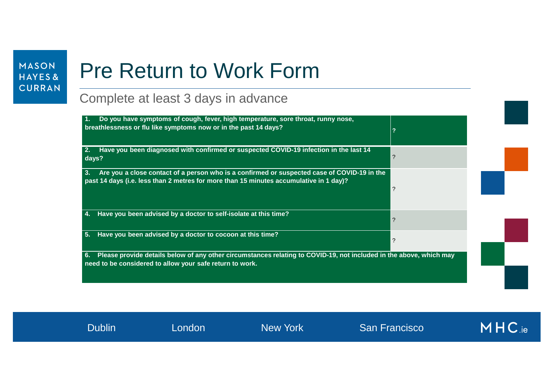# Pre Return to Work Form

#### Complete at least 3 days in advance

| Do you have symptoms of cough, fever, high temperature, sore throat, runny nose,<br>breathlessness or flu like symptoms now or in the past 14 days?                                         | $\overline{2}$ |  |
|---------------------------------------------------------------------------------------------------------------------------------------------------------------------------------------------|----------------|--|
| Have you been diagnosed with confirmed or suspected COVID-19 infection in the last 14<br>days?                                                                                              | ?              |  |
| Are you a close contact of a person who is a confirmed or suspected case of COVID-19 in the<br>3.<br>past 14 days (i.e. less than 2 metres for more than 15 minutes accumulative in 1 day)? | ?              |  |
| Have you been advised by a doctor to self-isolate at this time?                                                                                                                             | ?              |  |
| Have you been advised by a doctor to cocoon at this time?<br>5.                                                                                                                             | ?              |  |
| Please provide details below of any other circumstances relating to COVID-19, not included in the above, which may<br>6.<br>need to be considered to allow your safe return to work.        |                |  |

MHC.ie Dublin London New York San Francisco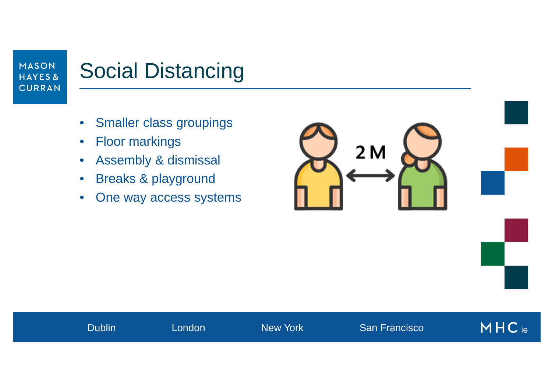### Social Distancing

- $\bullet$ Smaller class groupings
- $\bullet$ Floor markings
- $\bullet$ Assembly & dismissal
- $\bullet$ Breaks & playground
- $\bullet$ One way access systems

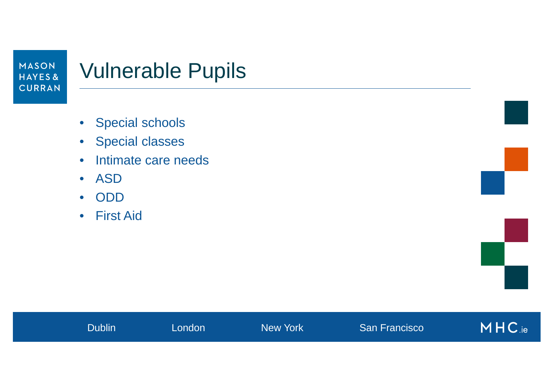#### Vulnerable Pupils

- Special schools
- Special classes
- •Intimate care needs
- ASD
- •ODD
- First Aid



| <b>Dublin</b> | London | New York | <b>San Francisco</b> | MHC.ie |
|---------------|--------|----------|----------------------|--------|
|               |        |          |                      |        |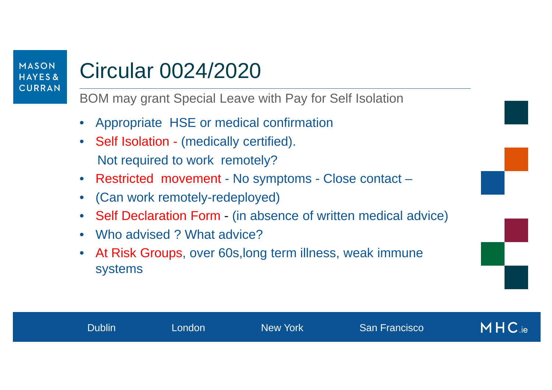### Circular 0024/2020

BOM may grant Special Leave with Pay for Self Isolation

- •Appropriate HSE or medical confirmation
- $\bullet$  Self Isolation - (medically certified). Not required to work remotely?
- Restricted movement No symptoms Close contact –
- •(Can work remotely-redeployed)
- •• Self Declaration Form -(in absence of written medical advice)
- •Who advised ? What advice?
- • At Risk Groups, over 60s,long term illness, weak immune systems

|  | $MHC_{\rm ie}$<br>Dublin<br><b>San Francisco</b><br><b>New York</b><br>London |
|--|-------------------------------------------------------------------------------|
|--|-------------------------------------------------------------------------------|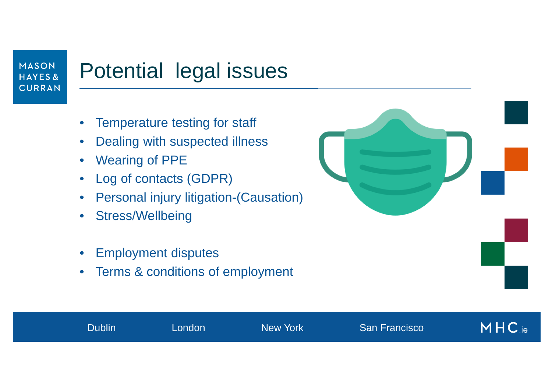### Potential legal issues

- •Temperature testing for staff
- $\bullet$ Dealing with suspected illness
- $\bullet$ Wearing of PPE
- $\bullet$ Log of contacts (GDPR)
- •Personal injury litigation-(Causation)
- •Stress/Wellbeing
- •Employment disputes
- $\bullet$ Terms & conditions of employment

Dublin London New York San Francisco

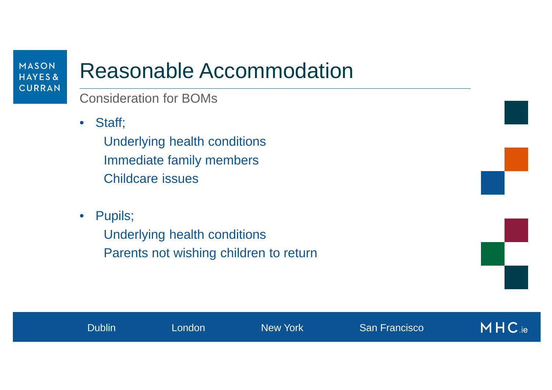### Reasonable Accommodation

#### Consideration for BOMs

 $\bullet$ Staff;

> Underlying health conditions Immediate family members Childcare issues

• Pupils;

Underlying health conditions Parents not wishing children to return



|  |  | Dublin <sup>1</sup> | London | <b>New York</b> | <b>San Francisco</b> | $MHC_{\text{.ie}}$ |
|--|--|---------------------|--------|-----------------|----------------------|--------------------|
|--|--|---------------------|--------|-----------------|----------------------|--------------------|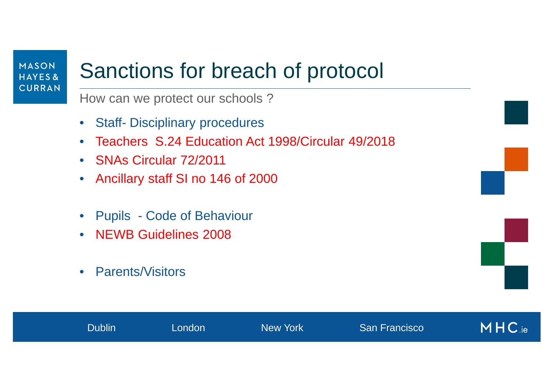#### Sanctions for breach of protocol

How can we protect our schools ?

- $\bullet$ Staff- Disciplinary procedures
- $\bullet$ Teachers S.24 Education Act 1998/Circular 49/2018
- SNAs Circular 72/2011
- $\bullet$ Ancillary staff SI no 146 of 2000
- Pupils Code of Behaviour
- NEWB Guidelines 2008
- $\bullet$ Parents/Visitors

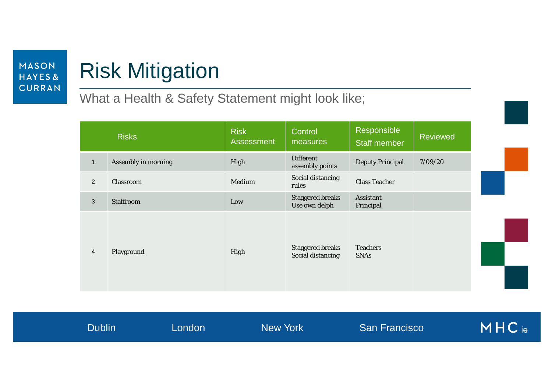# Risk Mitigation

What a Health & Safety Statement might look like;

|                | <b>Risks</b>               | <b>Risk</b><br><b>Assessment</b> | Control<br>measures                          | Responsible<br><b>Staff member</b> | <b>Reviewed</b> |
|----------------|----------------------------|----------------------------------|----------------------------------------------|------------------------------------|-----------------|
| $\mathbf{1}$   | <b>Assembly in morning</b> | High                             | <b>Different</b><br>assembly points          | <b>Deputy Principal</b>            | 7/09/20         |
| $\overline{2}$ | Classroom                  | Medium                           | Social distancing<br>rules                   | <b>Class Teacher</b>               |                 |
| $\sqrt{3}$     | <b>Staffroom</b>           | Low                              | <b>Staggered breaks</b><br>Use own delph     | <b>Assistant</b><br>Principal      |                 |
| $\overline{4}$ | Playground                 | High                             | <b>Staggered breaks</b><br>Social distancing | <b>Teachers</b><br><b>SNAs</b>     |                 |

|  |  | <b>Dublin</b> | London | <b>New York</b> | <b>San Francisco</b> | MHC.ie |
|--|--|---------------|--------|-----------------|----------------------|--------|
|--|--|---------------|--------|-----------------|----------------------|--------|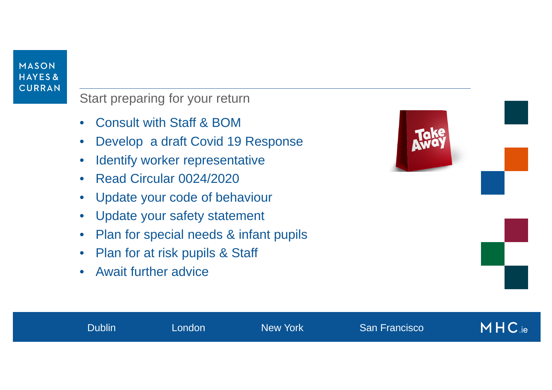Start preparing for your return

- •Consult with Staff & BOM
- $\bullet$ Develop a draft Covid 19 Response
- $\bullet$ Identify worker representative
- $\bullet$ Read Circular 0024/2020
- •Update your code of behaviour
- Update your safety statement
- $\bullet$ Plan for special needs & infant pupils
- •Plan for at risk pupils & Staff
- •Await further advice



|  |  | Dublin | London | New York | San Francisco | MHC.ie |
|--|--|--------|--------|----------|---------------|--------|
|--|--|--------|--------|----------|---------------|--------|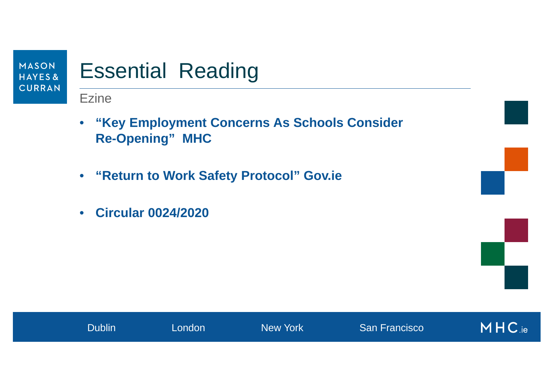

# Essential Reading

**Ezine** 

- **"Key Employment Concerns As Schools Consider Re-Opening" MHC**
- **"Return to Work Safety Protocol" Gov.ie**
- $\bullet$ **Circular 0024/2020**